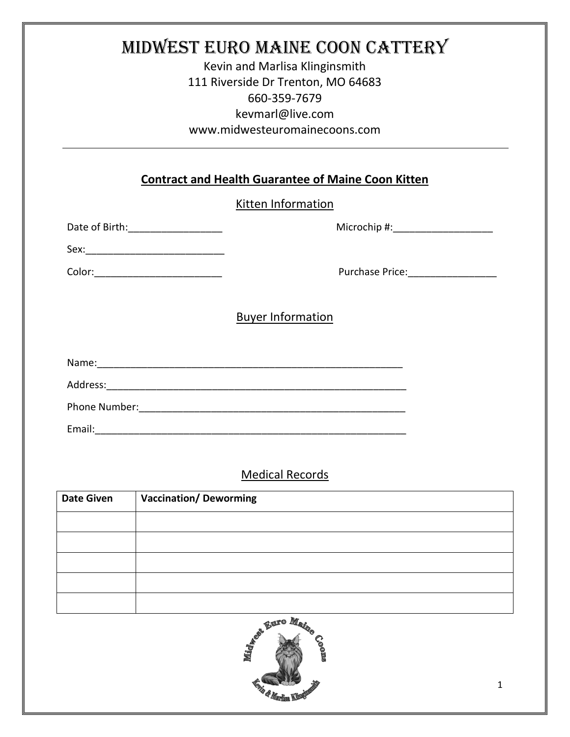# Midwest Euro Maine Coon Cattery

Kevin and Marlisa Klinginsmith 111 Riverside Dr Trenton, MO 64683 660-359-7679 kevmarl@live.com www.midwesteuromainecoons.com

#### **Contract and Health Guarantee of Maine Coon Kitten**

#### Kitten Information

Date of Birth:\_\_\_\_\_\_\_\_\_\_\_\_\_\_\_\_\_ Microchip #:\_\_\_\_\_\_\_\_\_\_\_\_\_\_\_\_\_\_

Sex:\_\_\_\_\_\_\_\_\_\_\_\_\_\_\_\_\_\_\_\_\_\_\_\_\_

Color: The Color: The Color: The Color: The Color: Purchase Price:  $P$ 

Buyer Information

Name:\_\_\_\_\_\_\_\_\_\_\_\_\_\_\_\_\_\_\_\_\_\_\_\_\_\_\_\_\_\_\_\_\_\_\_\_\_\_\_\_\_\_\_\_\_\_\_\_\_\_\_\_\_\_\_

Address:\_\_\_\_\_\_\_\_\_\_\_\_\_\_\_\_\_\_\_\_\_\_\_\_\_\_\_\_\_\_\_\_\_\_\_\_\_\_\_\_\_\_\_\_\_\_\_\_\_\_\_\_\_\_

Phone Number:\_\_\_\_\_\_\_\_\_\_\_\_\_\_\_\_\_\_\_\_\_\_\_\_\_\_\_\_\_\_\_\_\_\_\_\_\_\_\_\_\_\_\_\_\_\_\_\_

Email:\_\_\_\_\_\_\_\_\_\_\_\_\_\_\_\_\_\_\_\_\_\_\_\_\_\_\_\_\_\_\_\_\_\_\_\_\_\_\_\_\_\_\_\_\_\_\_\_\_\_\_\_\_\_\_\_

### Medical Records

| <b>Date Given</b> | <b>Vaccination/Deworming</b> |
|-------------------|------------------------------|
|                   |                              |
|                   |                              |
|                   |                              |
|                   |                              |
|                   |                              |

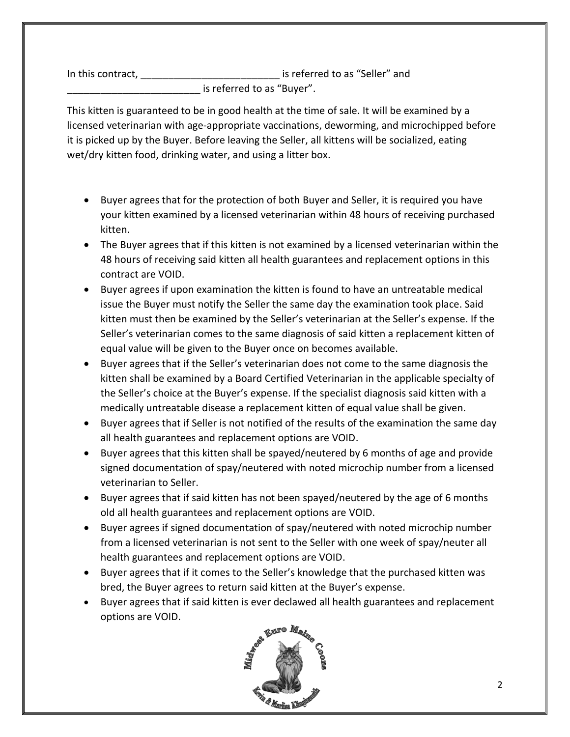In this contract,  $\qquad \qquad \qquad \qquad \qquad \qquad \qquad$  is referred to as "Seller" and is referred to as "Buver".

This kitten is guaranteed to be in good health at the time of sale. It will be examined by a licensed veterinarian with age-appropriate vaccinations, deworming, and microchipped before it is picked up by the Buyer. Before leaving the Seller, all kittens will be socialized, eating wet/dry kitten food, drinking water, and using a litter box.

- Buyer agrees that for the protection of both Buyer and Seller, it is required you have your kitten examined by a licensed veterinarian within 48 hours of receiving purchased kitten.
- The Buyer agrees that if this kitten is not examined by a licensed veterinarian within the 48 hours of receiving said kitten all health guarantees and replacement options in this contract are VOID.
- Buyer agrees if upon examination the kitten is found to have an untreatable medical issue the Buyer must notify the Seller the same day the examination took place. Said kitten must then be examined by the Seller's veterinarian at the Seller's expense. If the Seller's veterinarian comes to the same diagnosis of said kitten a replacement kitten of equal value will be given to the Buyer once on becomes available.
- Buyer agrees that if the Seller's veterinarian does not come to the same diagnosis the kitten shall be examined by a Board Certified Veterinarian in the applicable specialty of the Seller's choice at the Buyer's expense. If the specialist diagnosis said kitten with a medically untreatable disease a replacement kitten of equal value shall be given.
- Buyer agrees that if Seller is not notified of the results of the examination the same day all health guarantees and replacement options are VOID.
- Buyer agrees that this kitten shall be spayed/neutered by 6 months of age and provide signed documentation of spay/neutered with noted microchip number from a licensed veterinarian to Seller.
- Buyer agrees that if said kitten has not been spayed/neutered by the age of 6 months old all health guarantees and replacement options are VOID.
- Buyer agrees if signed documentation of spay/neutered with noted microchip number from a licensed veterinarian is not sent to the Seller with one week of spay/neuter all health guarantees and replacement options are VOID.
- Buyer agrees that if it comes to the Seller's knowledge that the purchased kitten was bred, the Buyer agrees to return said kitten at the Buyer's expense.
- Buyer agrees that if said kitten is ever declawed all health guarantees and replacement options are VOID.

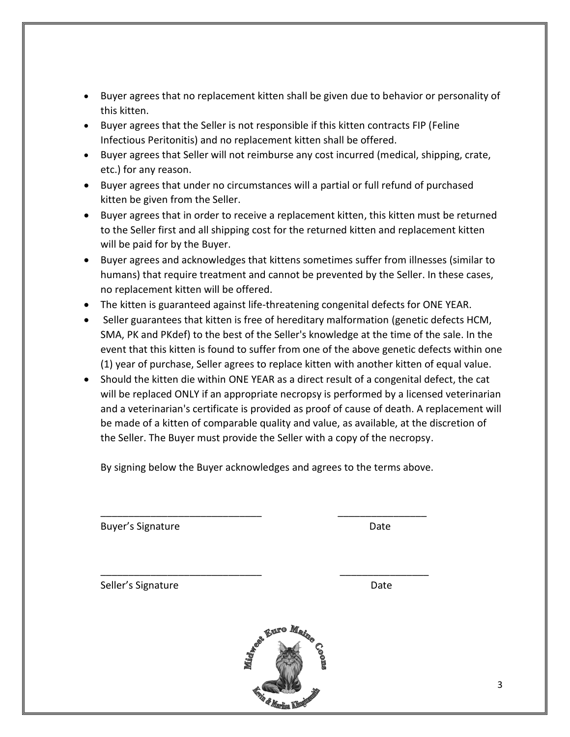- Buyer agrees that no replacement kitten shall be given due to behavior or personality of this kitten.
- Buyer agrees that the Seller is not responsible if this kitten contracts FIP (Feline Infectious Peritonitis) and no replacement kitten shall be offered.
- Buyer agrees that Seller will not reimburse any cost incurred (medical, shipping, crate, etc.) for any reason.
- Buyer agrees that under no circumstances will a partial or full refund of purchased kitten be given from the Seller.
- Buyer agrees that in order to receive a replacement kitten, this kitten must be returned to the Seller first and all shipping cost for the returned kitten and replacement kitten will be paid for by the Buyer.
- Buyer agrees and acknowledges that kittens sometimes suffer from illnesses (similar to humans) that require treatment and cannot be prevented by the Seller. In these cases, no replacement kitten will be offered.
- The kitten is guaranteed against life-threatening congenital defects for ONE YEAR.
- Seller guarantees that kitten is free of hereditary malformation (genetic defects HCM, SMA, PK and PKdef) to the best of the Seller's knowledge at the time of the sale. In the event that this kitten is found to suffer from one of the above genetic defects within one (1) year of purchase, Seller agrees to replace kitten with another kitten of equal value.
- Should the kitten die within ONE YEAR as a direct result of a congenital defect, the cat will be replaced ONLY if an appropriate necropsy is performed by a licensed veterinarian and a veterinarian's certificate is provided as proof of cause of death. A replacement will be made of a kitten of comparable quality and value, as available, at the discretion of the Seller. The Buyer must provide the Seller with a copy of the necropsy.

By signing below the Buyer acknowledges and agrees to the terms above.

\_\_\_\_\_\_\_\_\_\_\_\_\_\_\_\_\_\_\_\_\_\_\_\_\_\_\_\_\_ \_\_\_\_\_\_\_\_\_\_\_\_\_\_\_\_

\_\_\_\_\_\_\_\_\_\_\_\_\_\_\_\_\_\_\_\_\_\_\_\_\_\_\_\_\_ \_\_\_\_\_\_\_\_\_\_\_\_\_\_\_\_

Buyer's Signature **Date** Date

Seller's Signature Date Date